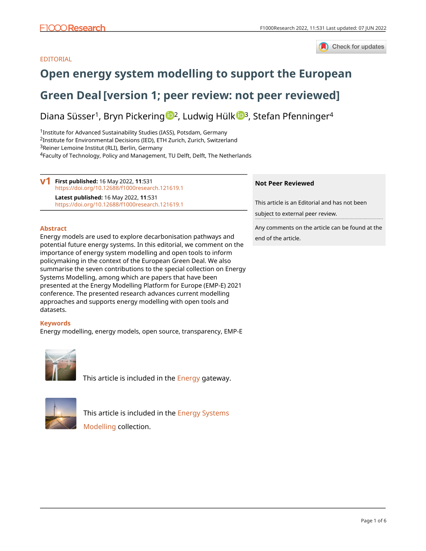

## EDITORIAL

## **[Open energy system modelling to support the European](https://f1000research.com/articles/11-531/v1)**

## **[Green Deal](https://f1000research.com/articles/11-531/v1)[version 1; peer review: not peer reviewed]**

Diana Süsser<sup>1</sup>, Bryn Pic[k](https://orcid.org/0000-0003-4655-2321)ering <sup>1</sup>, Ludwig Hülk <sup>1</sup><sup>3</sup>, Stefan Pfenninger<sup>4</sup>

<sup>1</sup> Institute for Advanced Sustainability Studies (IASS), Potsdam, Germany Institute for Environmental Decisions (IED), ETH Zurich, Zurich, Switzerland Reiner Lemoine Institut (RLI), Berlin, Germany Faculty of Technology, Policy and Management, TU Delft, Delft, The Netherlands

**First published:** 16 May 2022, **11**:531 **v1** <https://doi.org/10.12688/f1000research.121619.1> **Latest published:** 16 May 2022, **11**:531 <https://doi.org/10.12688/f1000research.121619.1>

### **Abstract**

Energy models are used to explore decarbonisation pathways and potential future energy systems. In this editorial, we comment on the importance of energy system modelling and open tools to inform policymaking in the context of the European Green Deal. We also summarise the seven contributions to the special collection on Energy Systems Modelling, among which are papers that have been presented at the Energy Modelling Platform for Europe (EMP-E) 2021 conference. The presented research advances current modelling approaches and supports energy modelling with open tools and datasets.

## **Keywords**

Energy modelling, energy models, open source, transparency, EMP-E



This article is included in the **Energy** gateway.



This article is included in the [Energy Systems](https://f1000research.com/collections/energy-systems-modelling) [Modelling](https://f1000research.com/collections/energy-systems-modelling) collection.

### **Not Peer Reviewed**

This article is an Editorial and has not been

subject to external peer review.

Any comments on the article can be found at the end of the article.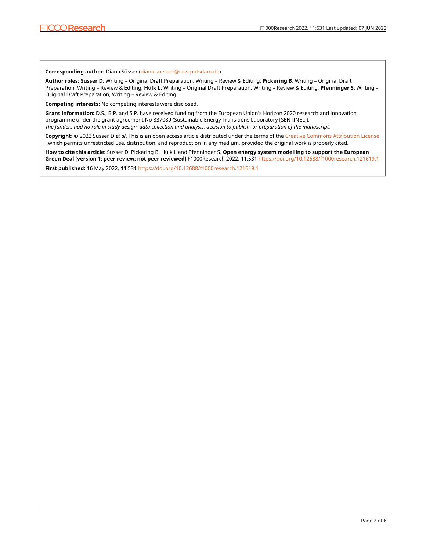**Corresponding author:** Diana Süsser [\(diana.suesser@iass-potsdam.de](mailto:diana.suesser@iass-potsdam.de))

**Author roles: Süsser D**: Writing – Original Draft Preparation, Writing – Review & Editing; **Pickering B**: Writing – Original Draft Preparation, Writing – Review & Editing; **Hülk L**: Writing – Original Draft Preparation, Writing – Review & Editing; **Pfenninger S**: Writing – Original Draft Preparation, Writing – Review & Editing

**Competing interests:** No competing interests were disclosed.

**Grant information:** D.S., B.P. and S.P. have received funding from the European Union's Horizon 2020 research and innovation programme under the grant agreement No 837089 (Sustainable Energy Transitions Laboratory [SENTINEL]). *The funders had no role in study design, data collection and analysis, decision to publish, or preparation of the manuscript.*

**Copyright:** © 2022 Süsser D *et al*. This is an open access article distributed under the terms of the [Creative Commons Attribution License](http://creativecommons.org/licenses/by/4.0/) , which permits unrestricted use, distribution, and reproduction in any medium, provided the original work is properly cited.

**How to cite this article:** Süsser D, Pickering B, Hülk L and Pfenninger S. **Open energy system modelling to support the European Green Deal [version 1; peer review: not peer reviewed]** F1000Research 2022, **11**:531 <https://doi.org/10.12688/f1000research.121619.1>

**First published:** 16 May 2022, **11**:531 <https://doi.org/10.12688/f1000research.121619.1>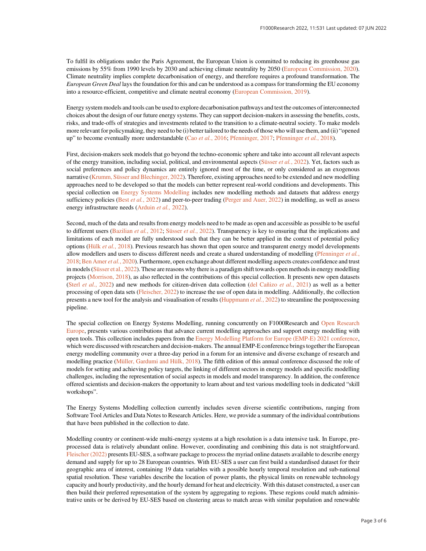To fulfil its obligations under the Paris Agreement, the European Union is committed to reducing its greenhouse gas emissions by 55% from 1990 levels by 2030 and achieving climate neutrality by 2050 [\(European Commission, 2020\)](#page-4-0). Climate neutrality implies complete decarbonisation of energy, and therefore requires a profound transformation. The European Green Deal lays the foundation for this and can be understood as a compass for transforming the EU economy into a resource-efficient, competitive and climate neutral economy [\(European Commission, 2019](#page-4-0)).

Energy system models and tools can be used to explore decarbonisation pathways and test the outcomes of interconnected choices about the design of our future energy systems. They can support decision-makers in assessing the benefits, costs, risks, and trade-offs of strategies and investments related to the transition to a climate-neutral society. To make models more relevant for policymaking, they need to be (i) better tailored to the needs of those who will use them, and (ii) "opened up" to become eventually more understandable (Cao et al.[, 2016](#page-4-0); [Pfenninger, 2017](#page-4-0); [Pfenninger](#page-4-0) et al., 2018).

First, decision-makers seek models that go beyond the techno-economic sphere and take into account all relevant aspects of the energy transition, including social, political, and environmental aspects [\(Süsser](#page-4-0) *et al.*, 2022). Yet, factors such as social preferences and policy dynamics are entirely ignored most of the time, or only considered as an exogenous narrative ([Krumm, Süsser and Blechinger, 2022\)](#page-4-0). Therefore, existing approaches need to be extended and new modelling approaches need to be developed so that the models can better represent real-world conditions and developments. This special collection on [Energy Systems Modelling](https://f1000research.com/collections/energy-systems-modelling/about-this-collection) includes new modelling methods and datasets that address energy sufficiency policies (Best *et al.*[, 2022\)](#page-4-0) and peer-to-peer trading ([Perger and Auer, 2022](#page-4-0)) in modelling, as well as assess energy infrastructure needs ([Arduin](#page-4-0) et al., 2022).

Second, much of the data and results from energy models need to be made as open and accessible as possible to be useful to different users [\(Bazilian](#page-4-0) et al., 2012; Süsser et al.[, 2022\)](#page-4-0). Transparency is key to ensuring that the implications and limitations of each model are fully understood such that they can be better applied in the context of potential policy options (Hülk et al.[, 2018](#page-4-0)). Previous research has shown that open source and transparent energy model developments allow modellers and users to discuss different needs and create a shared understanding of modelling ([Pfenninger](#page-4-0) et al., [2018;](#page-4-0) [Ben Amer](#page-4-0) et al., 2020). Furthermore, open exchange about different modelling aspects creates confidence and trust in models [\(Süsser et al., 2022\)](#page-4-0). These are reasons why there is a paradigm shift towards open methods in energy modelling projects ([Morrison, 2018](#page-4-0)), as also reflected in the contributions of this special collection. It presents new open datasets (Sterl et al.[, 2022\)](#page-4-0) and new methods for citizen-driven data collection [\(del Cañizo](#page-4-0) et al., 2021) as well as a better processing of open data sets [\(Fleischer, 2022\)](#page-4-0) to increase the use of open data in modelling. Additionally, the collection presents a new tool for the analysis and visualisation of results [\(Huppmann](#page-4-0) et al., 2022) to streamline the postprocessing pipeline.

The special collection on Energy Systems Modelling, running concurrently on F1000Research and [Open Research](https://open-research-europe.ec.europa.eu/collections/energy-systems-modelling) [Europe](https://open-research-europe.ec.europa.eu/collections/energy-systems-modelling), presents various contributions that advance current modelling approaches and support energy modelling with open tools. This collection includes papers from the [Energy Modelling Platform for Europe \(EMP-E\) 2021 conference,](https://www.energymodellingplatform.eu/conferences/emp-e-2021/) which were discussed with researchers and decision-makers. The annual EMP-E conference brings together the European energy modelling community over a three-day period in a forum for an intensive and diverse exchange of research and modelling practice [\(Müller, Gardumi and Hülk, 2018\)](#page-4-0). The fifth edition of this annual conference discussed the role of models for setting and achieving policy targets, the linking of different sectors in energy models and specific modelling challenges, including the representation of social aspects in models and model transparency. In addition, the conference offered scientists and decision-makers the opportunity to learn about and test various modelling tools in dedicated "skill workshops".

The Energy Systems Modelling collection currently includes seven diverse scientific contributions, ranging from Software Tool Articles and Data Notes to Research Articles. Here, we provide a summary of the individual contributions that have been published in the collection to date.

Modelling country or continent-wide multi-energy systems at a high resolution is a data intensive task. In Europe, preprocessed data is relatively abundant online. However, coordinating and combining this data is not straightforward. [Fleischer \(2022\)](#page-4-0) presents EU-SES, a software package to process the myriad online datasets available to describe energy demand and supply for up to 28 European countries. With EU-SES a user can first build a standardised dataset for their geographic area of interest, containing 19 data variables with a possible hourly temporal resolution and sub-national spatial resolution. These variables describe the location of power plants, the physical limits on renewable technology capacity and hourly productivity, and the hourly demand for heat and electricity. With this dataset constructed, a user can then build their preferred representation of the system by aggregating to regions. These regions could match administrative units or be derived by EU-SES based on clustering areas to match areas with similar population and renewable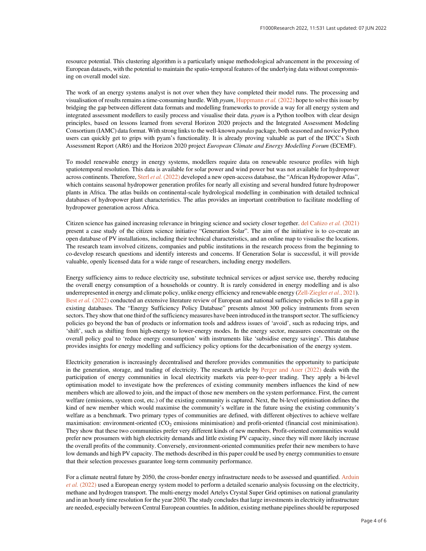resource potential. This clustering algorithm is a particularly unique methodological advancement in the processing of European datasets, with the potential to maintain the spatio-temporal features of the underlying data without compromising on overall model size.

The work of an energy systems analyst is not over when they have completed their model runs. The processing and visualisation of results remains a time-consuming hurdle. With  $p\gamma qm$ , [Huppmann](#page-4-0) *et al.* (2022) hope to solve this issue by bridging the gap between different data formats and modelling frameworks to provide a way for all energy system and integrated assessment modellers to easily process and visualise their data. pyam is a Python toolbox with clear design principles, based on lessons learned from several Horizon 2020 projects and the Integrated Assessment Modeling Consortium (IAMC) data format. With strong links to the well-known pandas package, both seasoned and novice Python users can quickly get to grips with pyam's functionality. It is already proving valuable as part of the IPCC's Sixth Assessment Report (AR6) and the Horizon 2020 project European Climate and Energy Modelling Forum (ECEMF).

To model renewable energy in energy systems, modellers require data on renewable resource profiles with high spatiotemporal resolution. This data is available for solar power and wind power but was not available for hydropower across continents. Therefore, Sterl et al. [\(2022\)](#page-4-0) developed a new open-access database, the "African Hydropower Atlas", which contains seasonal hydropower generation profiles for nearly all existing and several hundred future hydropower plants in Africa. The atlas builds on continental-scale hydrological modelling in combination with detailed technical databases of hydropower plant characteristics. The atlas provides an important contribution to facilitate modelling of hydropower generation across Africa.

Citizen science has gained increasing relevance in bringing science and society closer together. [del Cañizo](#page-4-0) et al. (2021) present a case study of the citizen science initiative "Generation Solar". The aim of the initiative is to co-create an open database of PV installations, including their technical characteristics, and an online map to visualise the locations. The research team involved citizens, companies and public institutions in the research process from the beginning to co-develop research questions and identify interests and concerns. If Generation Solar is successful, it will provide valuable, openly licensed data for a wide range of researchers, including energy modellers.

Energy sufficiency aims to reduce electricity use, substitute technical services or adjust service use, thereby reducing the overall energy consumption of a households or country. It is rarely considered in energy modelling and is also underrepresented in energy and climate policy, unlike energy efficiency and renewable energy [\(Zell-Ziegler](#page-4-0) et al., 2021). Best et al. [\(2022\)](#page-4-0) conducted an extensive literature review of European and national sufficiency policies to fill a gap in existing databases. The "Energy Sufficiency Policy Database" presents almost 300 policy instruments from seven sectors. They show that one third of the sufficiency measures have been introduced in the transport sector. The sufficiency policies go beyond the ban of products or information tools and address issues of 'avoid', such as reducing trips, and 'shift', such as shifting from high-energy to lower-energy modes. In the energy sector, measures concentrate on the overall policy goal to 'reduce energy consumption' with instruments like 'subsidise energy savings'. This database provides insights for energy modelling and sufficiency policy options for the decarbonisation of the energy system.

Electricity generation is increasingly decentralised and therefore provides communities the opportunity to participate in the generation, storage, and trading of electricity. The research article by [Perger and Auer \(2022\)](#page-4-0) deals with the participation of energy communities in local electricity markets via peer-to-peer trading. They apply a bi-level optimisation model to investigate how the preferences of existing community members influences the kind of new members which are allowed to join, and the impact of those new members on the system performance. First, the current welfare (emissions, system cost, etc.) of the existing community is captured. Next, the bi-level optimisation defines the kind of new member which would maximise the community's welfare in the future using the existing community's welfare as a benchmark. Two primary types of communities are defined, with different objectives to achieve welfare maximisation: environment-oriented (CO<sub>2</sub> emissions minimisation) and profit-oriented (financial cost minimisation). They show that these two communities prefer very different kinds of new members. Profit-oriented communities would prefer new prosumers with high electricity demands and little existing PV capacity, since they will more likely increase the overall profits of the community. Conversely, environment-oriented communities prefer their new members to have low demands and high PV capacity. The methods described in this paper could be used by energy communities to ensure that their selection processes guarantee long-term community performance.

For a climate neutral future by 2050, the cross-border energy infrastructure needs to be assessed and quantified. [Arduin](#page-4-0) et al. [\(2022\)](#page-4-0) used a European energy system model to perform a detailed scenario analysis focussing on the electricity, methane and hydrogen transport. The multi-energy model Artelys Crystal Super Grid optimises on national granularity and in an hourly time resolution for the year 2050. The study concludes that large investments in electricity infrastructure are needed, especially between Central European countries. In addition, existing methane pipelines should be repurposed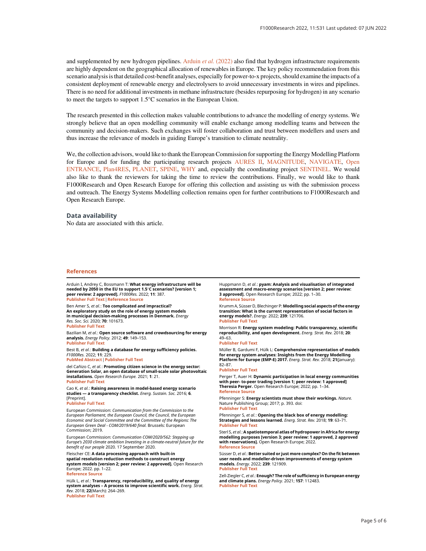<span id="page-4-0"></span>and supplemented by new hydrogen pipelines. Arduin et al.  $(2022)$  also find that hydrogen infrastructure requirements are highly dependent on the geographical allocation of renewables in Europe. The key policy recommendation from this scenario analysis is that detailed cost-benefit analyses, especially for power-to-x projects, should examine the impacts of a consistent deployment of renewable energy and electrolysers to avoid unnecessary investments in wires and pipelines. There is no need for additional investments in methane infrastructure (besides repurposing for hydrogen) in any scenario to meet the targets to support 1.5°C scenarios in the European Union.

The research presented in this collection makes valuable contributions to advance the modelling of energy systems. We strongly believe that an open modelling community will enable exchange among modelling teams and between the community and decision-makers. Such exchanges will foster collaboration and trust between modellers and users and thus increase the relevance of models in guiding Europe's transition to climate neutrality.

We, the collection advisors, would like to thank the European Commission for supporting the Energy Modelling Platform for Europe and for funding the participating research projects [AURES II](http://aures2project.eu/), [MAGNITUDE,](https://www.magnitude-project.eu/) [NAVIGATE,](https://www.navigate-h2020.eu/) [Open](https://openentrance.eu/) [ENTRANCE](https://openentrance.eu/), [Plan4RES](https://www.plan4res.eu/), [PLANET,](https://www.h2020-planet.eu/) [SPINE,](http://www.spine-model.org/) [WHY](https://www.why-h2020.eu/) and, especially the coordinating project [SENTINEL.](https://sentinel.energy/) We would also like to thank the reviewers for taking the time to review the contributions. Finally, we would like to thank F1000Research and Open Research Europe for offering this collection and assisting us with the submission process and outreach. The Energy Systems Modelling collection remains open for further contributions to F1000Research and Open Research Europe.

#### Data availability

No data are associated with this article.

#### References

Arduin I, Andrey C, Bossmann T: What energy infrastructure will be needed by 2050 in the EU to support 1.5°C scenarios? [version 1; peer review: 2 approved]. F1000Res. 2022; 11: 387.

[Publisher Full Text](https://doi.org/10.12688/f1000research.109399.1)[|](https://f1000research.com/articles/11-387)[Reference Source](https://f1000research.com/articles/11-387)

Ben Amer S, et al.: Too complicated and impractical? An exploratory study on the role of energy system models in municipal decision-making processes in Denmark. Energy Res. Soc. Sci. 2020; 70: 101673. [Publisher Full Text](https://doi.org/10.1016/j.erss.2020.101673)

Bazilian M, et al.: Open source software and crowdsourcing for energy analysis. Energy Policy. 2012; 49: 149–153. [Publisher Full Text](https://doi.org/10.1016/j.enpol.2012.06.032)

Best B, et al.: Building a database for energy sufficiency policies. F1000Res. 2022; 11: 229.

[PubMed Abstract](http://www.ncbi.nlm.nih.gov/pubmed/35474880)[|](https://doi.org/10.12688/f1000research.108822.1)[Publisher Full Text](https://doi.org/10.12688/f1000research.108822.1)

del Cañizo C, et al.: **Promoting citizen science in the energy sector:** Generation Solar, an open database of small-scale solar photovoltaic installations. Open Research Europe. 2021; 1: 21. [Publisher Full Text](https://doi.org/10.12688/openreseurope.13069.1)

Cao K, et al.: Raising awareness in model-based energy scenario studies — a transparency checklist. Energ. Sustain. Soc. 2016; 6. [Preprint].

#### [Publisher Full Text](https://doi.org/10.1186/s13705-016-0090-z)

European Commission: Communication from the Commission to the European Parliament, the European Council, the Council, the European Economic and Social Committee and the Committee of the Regions: The European Green Deal - COM/2019/640 final. Brussels: European Commission; 2019.

European Commission: Communication COM/2020/562: Stepping up Europe's 2030 climate ambition Investing in a climate-neutral future for the benefit of our people 2020. 17 September 2020.

Fleischer CE: A data processing approach with built-in spatial resolution reduction methods to construct energy system models [version 2; peer review: 2 approved]. Open Research Europe; 2022. pp. 1–22. [Reference Source](https://open-research-europe.ec.europa.eu/articles/1-36)

#### Hülk L, et al.: Transparency, reproducibility, and quality of energy system analyses - A process to improve scientific work. Energ. Strat. Rev. 2018; 22(March): 264–269. [Publisher Full Text](https://doi.org/10.1016/j.esr.2018.08.014)

Huppmann D, et al.: pyam: Analysis and visualisation of integrated assessment and macro-energy scenarios [version 2; peer review: 3 approved]. Open Research Europe; 2022; pp. 1–30. [Reference Source](https://open-research-europe.ec.europa.eu/articles/1-74)

Krumm A, Süsser D, Blechinger P: **Modelling social aspects of the energy** transition: What is the current representation of social factors in energy models?. Energy. 2022; 239: 121706. [Publisher Full Text](https://doi.org/10.1016/j.energy.2021.121706)

Morrison R: Energy system modeling: Public transparency, scientific reproducibility, and open development. Energ. Strat. Rev. 2018; 20: 49–63.

#### [Publisher Full Text](https://doi.org/10.1016/j.esr.2017.12.010)

Müller B, Gardumi F, Hülk L: Comprehensive representation of models for energy system analyses: Insights from the Energy Modelling Platform for Europe (EMP-E) 2017. Energ. Strat. Rev. 2018; 21(January): 82–87.

#### [Publisher Full Text](https://doi.org/10.1016/j.esr.2018.03.006)

Perger T, Auer H: Dynamic participation in local energy communities with peer- to-peer trading [version 1; peer review: 1 approved] Theresia Perger. Open Research Europe; 2022; pp. 1–34. [Reference Source](https://open-research-europe.ec.europa.eu/articles/2-5)

Pfenninger S: Energy scientists must show their workings. Nature. Nature Publishing Group; 2017; p. 393. doi: [Publisher Full Text](https://doi.org/10.1038/542393a)

Pfenninger S, et al.: Opening the black box of energy modelling: Strategies and lessons learned. Energ. Strat. Rev. 2018; 19: 63–71. [Publisher Full Text](https://doi.org/10.1016/j.esr.2017.12.002)

Sterl S, et al.: A spatiotemporal atlas of hydropower in Africa for energy modelling purposes [version 3; peer review: 1 approved, 2 approved with reservations]. Open Research Europe; 2022. [Reference Source](https://open-research-europe.ec.europa.eu/articles/1-29)

Süsser D, et al.: Better suited or just more complex? On the fit between user needs and modeller-driven improvements of energy system models. Energy. 2022; 239: 121909. [Publisher Full Text](https://doi.org/10.1016/j.energy.2021.121909)

Zell-Ziegler C, et al.: Enough? The role of sufficiency in European energy and climate plans. Energy Policy. 2021; 157: 112483. [Publisher Full Text](https://doi.org/10.1016/j.enpol.2021.112483)